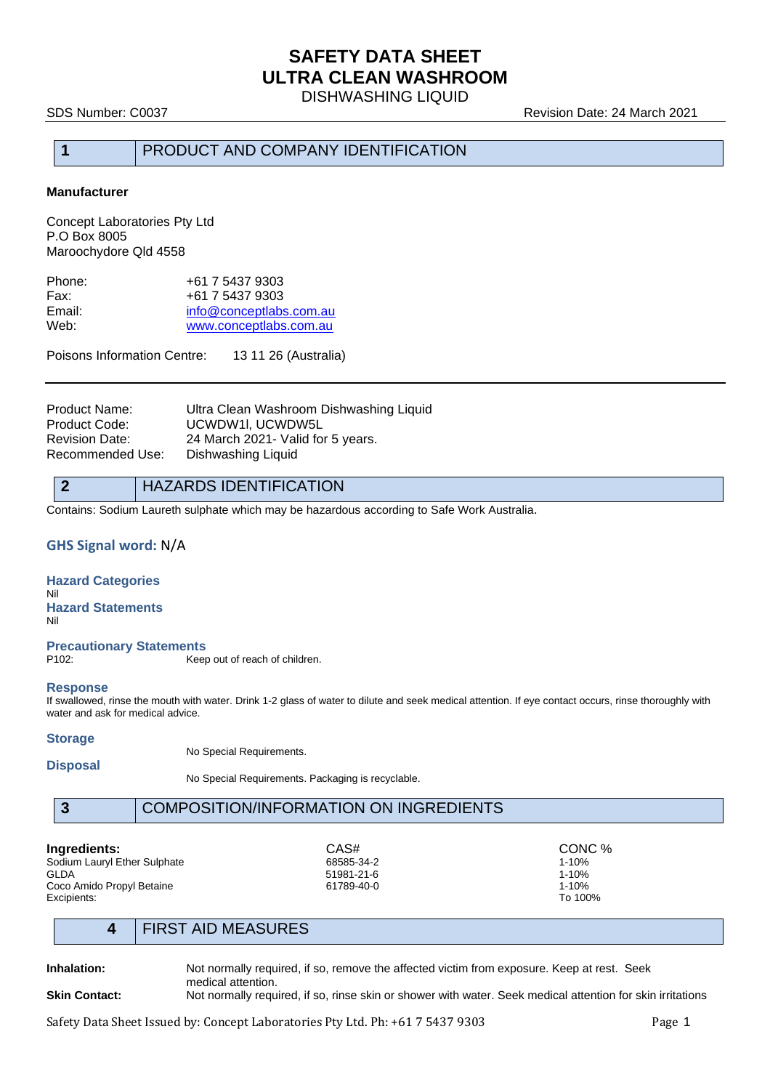DISHWASHING LIQUID

SDS Number: C0037 **Revision Date: 24 March 2021** 

# **1** PRODUCT AND COMPANY IDENTIFICATION

### **Manufacturer**

Concept Laboratories Pty Ltd P.O Box 8005 Maroochydore Qld 4558

| Phone: | +61 7 5437 9303         |
|--------|-------------------------|
| Fax:   | +61 7 5437 9303         |
| Email: | info@conceptlabs.com.au |
| Web:   | www.conceptlabs.com.au  |
|        |                         |

Poisons Information Centre: 13 11 26 (Australia)

Product Name: Ultra Clean Washroom Dishwashing Liquid Product Code: UCWDW1I, UCWDW5L Revision Date: 24 March 2021- Valid for 5 years. Recommended Use: Dishwashing Liquid

### **2** HAZARDS IDENTIFICATION

Contains: Sodium Laureth sulphate which may be hazardous according to Safe Work Australia.

### **GHS Signal word:** N/A

### **Hazard Categories** Nil **Hazard Statements**

Nil

# **Precautionary Statements**

Keep out of reach of children.

### **Response**

If swallowed, rinse the mouth with water. Drink 1-2 glass of water to dilute and seek medical attention. If eye contact occurs, rinse thoroughly with water and ask for medical advice.

### **Storage**

No Special Requirements.

**Disposal**

No Special Requirements. Packaging is recyclable.

### **3** COMPOSITION/INFORMATION ON INGREDIENTS

Sodium Lauryl Ether Sulphate GLDA 51981-21-6 1-10% Coco Amido Propyl Betaine **61789-40-0** 61789-40-0 1-10% **Excipients:** 1-10% Excipients: To 100%

**Ingredients:** CAS# CONC % CASH CONC % CONC % CONC % CONC % CONC % CONC % CONC % CONC % CONC % CONC % CONC % CONC

# **4** FIRST AID MEASURES

**Inhalation:** Not normally required, if so, remove the affected victim from exposure. Keep at rest. Seek medical attention.

### **Skin Contact:** Not normally required, if so, rinse skin or shower with water. Seek medical attention for skin irritations

Safety Data Sheet Issued by: Concept Laboratories Pty Ltd. Ph: +61 7 5437 9303 Page 1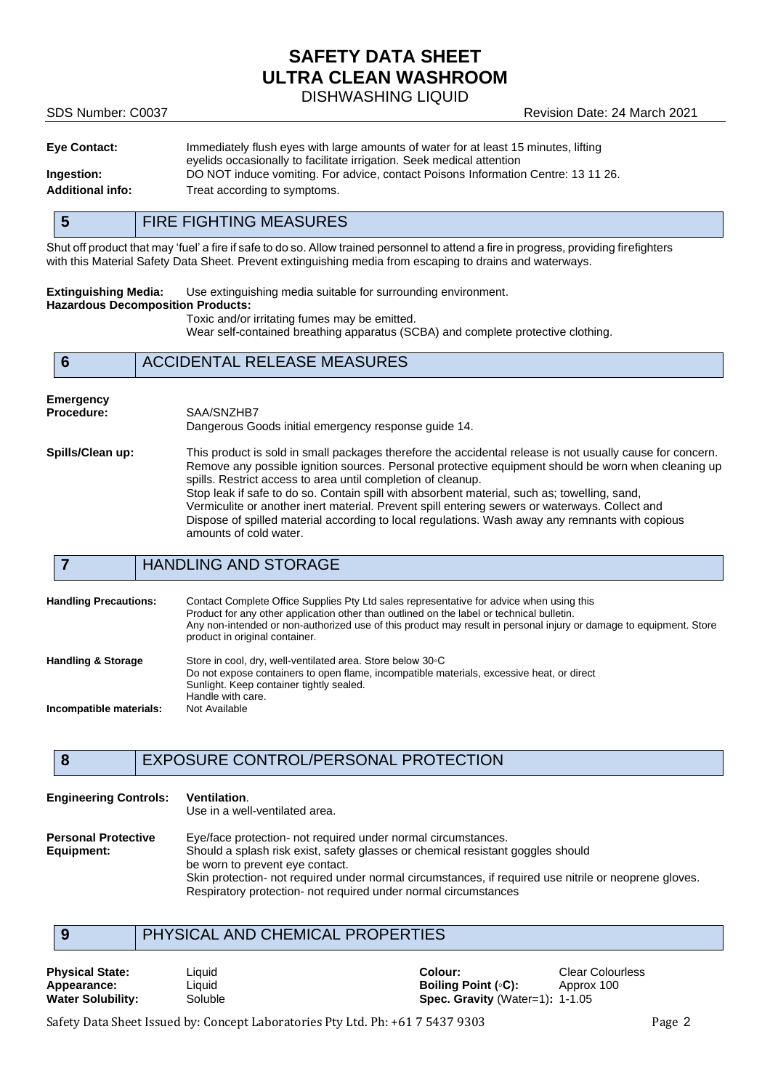DISHWASHING LIQUID

SDS Number: C0037 Revision Date: 24 March 2021

| <b>Eye Contact:</b>     | Immediately flush eyes with large amounts of water for at least 15 minutes, lifting |
|-------------------------|-------------------------------------------------------------------------------------|
|                         | eyelids occasionally to facilitate irrigation. Seek medical attention               |
| Ingestion:              | DO NOT induce vomiting. For advice, contact Poisons Information Centre: 13 11 26.   |
| <b>Additional info:</b> | Treat according to symptoms.                                                        |

# **5** FIRE FIGHTING MEASURES

Shut off product that may 'fuel' a fire if safe to do so. Allow trained personnel to attend a fire in progress, providing firefighters with this Material Safety Data Sheet. Prevent extinguishing media from escaping to drains and waterways.

**Extinguishing Media:** Use extinguishing media suitable for surrounding environment. **Hazardous Decomposition Products:**

Toxic and/or irritating fumes may be emitted. Wear self-contained breathing apparatus (SCBA) and complete protective clothing.

### **6** ACCIDENTAL RELEASE MEASURES

### **Emergency**

**Procedure:** SAA/SNZHB7

Dangerous Goods initial emergency response guide 14.

**Spills/Clean up:** This product is sold in small packages therefore the accidental release is not usually cause for concern. Remove any possible ignition sources. Personal protective equipment should be worn when cleaning up spills. Restrict access to area until completion of cleanup. Stop leak if safe to do so. Contain spill with absorbent material, such as; towelling, sand, Vermiculite or another inert material. Prevent spill entering sewers or waterways. Collect and Dispose of spilled material according to local regulations. Wash away any remnants with copious amounts of cold water.

# **7** HANDLING AND STORAGE

| <b>Handling Precautions:</b>  | Contact Complete Office Supplies Pty Ltd sales representative for advice when using this<br>Product for any other application other than outlined on the label or technical bulletin.<br>Any non-intended or non-authorized use of this product may result in personal injury or damage to equipment. Store<br>product in original container. |
|-------------------------------|-----------------------------------------------------------------------------------------------------------------------------------------------------------------------------------------------------------------------------------------------------------------------------------------------------------------------------------------------|
| <b>Handling &amp; Storage</b> | Store in cool, dry, well-ventilated area. Store below 30 °C<br>Do not expose containers to open flame, incompatible materials, excessive heat, or direct<br>Sunlight. Keep container tightly sealed.<br>Handle with care.                                                                                                                     |
| Incompatible materials:       | Not Available                                                                                                                                                                                                                                                                                                                                 |

# **8** EXPOSURE CONTROL/PERSONAL PROTECTION

| <b>Engineering Controls:</b>             | <b>Ventilation.</b><br>Use in a well-ventilated area.                                                                                                                                                                                                                                                                                                           |
|------------------------------------------|-----------------------------------------------------------------------------------------------------------------------------------------------------------------------------------------------------------------------------------------------------------------------------------------------------------------------------------------------------------------|
| <b>Personal Protective</b><br>Equipment: | Eye/face protection- not required under normal circumstances.<br>Should a splash risk exist, safety glasses or chemical resistant goggles should<br>be worn to prevent eye contact.<br>Skin protection- not required under normal circumstances, if required use nitrile or neoprene gloves.<br>Respiratory protection- not required under normal circumstances |

# **9** PHYSICAL AND CHEMICAL PROPERTIES

**Physical State:** Colourless Liquid Colour: Colour: Clear Colourless Colourless Clear Colourless Clear Colourless<br> **Appearance:** Colourless Liquid Colour Colour: Colour: Colourless Approx 100 **Appearance:** Liquid **Boiling Point (◦C):** Approx 100 **Water Solubility:** Soluble **Spec. Gravity** (Water=1): 1-1.05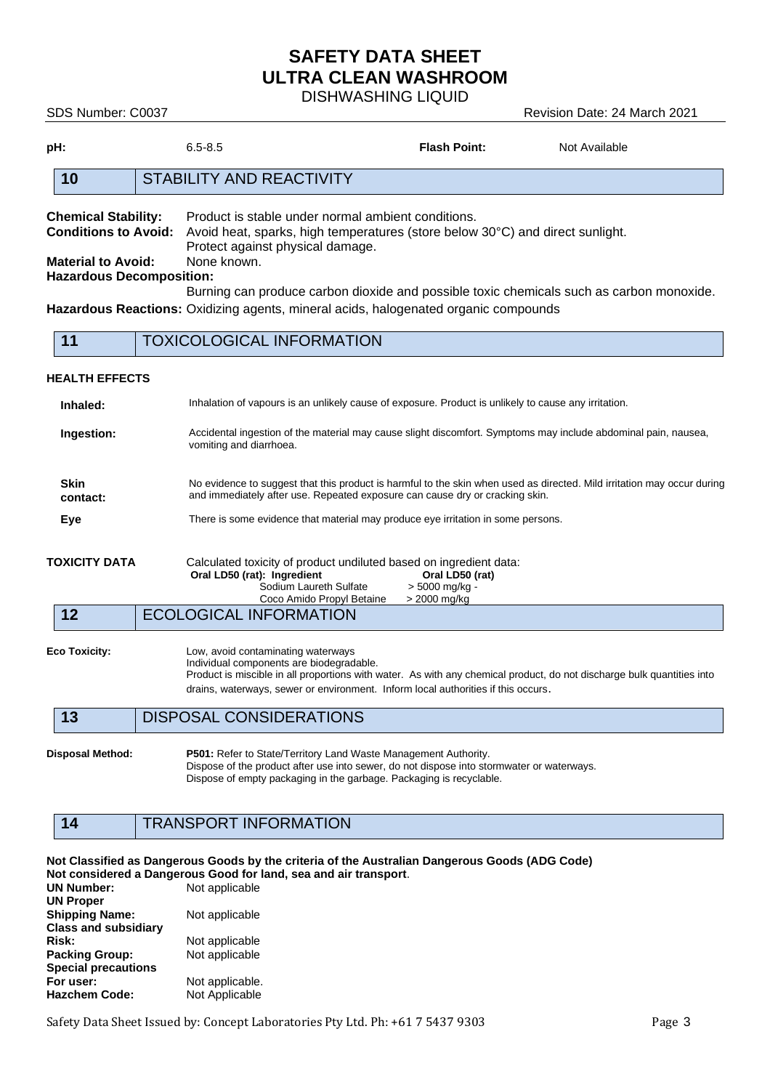DISHWASHING LIQUID

SDS Number: C0037 Revision Date: 24 March 2021

| pH:                                                                                                                                                                                                                                                                                                                                                                                                                                                                                                    |  | $6.5 - 8.5$                                                                                                                                                                                                                         | <b>Flash Point:</b> |  | Not Available |  |  |
|--------------------------------------------------------------------------------------------------------------------------------------------------------------------------------------------------------------------------------------------------------------------------------------------------------------------------------------------------------------------------------------------------------------------------------------------------------------------------------------------------------|--|-------------------------------------------------------------------------------------------------------------------------------------------------------------------------------------------------------------------------------------|---------------------|--|---------------|--|--|
| 10                                                                                                                                                                                                                                                                                                                                                                                                                                                                                                     |  | <b>STABILITY AND REACTIVITY</b>                                                                                                                                                                                                     |                     |  |               |  |  |
| Product is stable under normal ambient conditions.<br><b>Chemical Stability:</b><br><b>Conditions to Avoid:</b><br>Avoid heat, sparks, high temperatures (store below 30°C) and direct sunlight.<br>Protect against physical damage.<br>None known.<br><b>Material to Avoid:</b><br><b>Hazardous Decomposition:</b><br>Burning can produce carbon dioxide and possible toxic chemicals such as carbon monoxide.<br>Hazardous Reactions: Oxidizing agents, mineral acids, halogenated organic compounds |  |                                                                                                                                                                                                                                     |                     |  |               |  |  |
| 11                                                                                                                                                                                                                                                                                                                                                                                                                                                                                                     |  | <b>TOXICOLOGICAL INFORMATION</b>                                                                                                                                                                                                    |                     |  |               |  |  |
| <b>HEALTH EFFECTS</b>                                                                                                                                                                                                                                                                                                                                                                                                                                                                                  |  |                                                                                                                                                                                                                                     |                     |  |               |  |  |
| Inhaled:                                                                                                                                                                                                                                                                                                                                                                                                                                                                                               |  | Inhalation of vapours is an unlikely cause of exposure. Product is unlikely to cause any irritation.                                                                                                                                |                     |  |               |  |  |
| Ingestion:                                                                                                                                                                                                                                                                                                                                                                                                                                                                                             |  | Accidental ingestion of the material may cause slight discomfort. Symptoms may include abdominal pain, nausea,<br>vomiting and diarrhoea.                                                                                           |                     |  |               |  |  |
| <b>Skin</b><br>contact:                                                                                                                                                                                                                                                                                                                                                                                                                                                                                |  | No evidence to suggest that this product is harmful to the skin when used as directed. Mild irritation may occur during<br>and immediately after use. Repeated exposure can cause dry or cracking skin.                             |                     |  |               |  |  |
| Eye                                                                                                                                                                                                                                                                                                                                                                                                                                                                                                    |  | There is some evidence that material may produce eye irritation in some persons.                                                                                                                                                    |                     |  |               |  |  |
| <b>TOXICITY DATA</b><br>Calculated toxicity of product undiluted based on ingredient data:<br>Oral LD50 (rat): Ingredient<br>Sodium Laureth Sulfate<br>Coco Amido Propyl Betaine                                                                                                                                                                                                                                                                                                                       |  | Oral LD50 (rat)<br>> 5000 mg/kg -<br>> 2000 mg/kg                                                                                                                                                                                   |                     |  |               |  |  |
| 12                                                                                                                                                                                                                                                                                                                                                                                                                                                                                                     |  | <b>ECOLOGICAL INFORMATION</b>                                                                                                                                                                                                       |                     |  |               |  |  |
| <b>Eco Toxicity:</b><br>Low, avoid contaminating waterways<br>Individual components are biodegradable.<br>Product is miscible in all proportions with water. As with any chemical product, do not discharge bulk quantities into<br>drains, waterways, sewer or environment. Inform local authorities if this occurs.                                                                                                                                                                                  |  |                                                                                                                                                                                                                                     |                     |  |               |  |  |
| 13                                                                                                                                                                                                                                                                                                                                                                                                                                                                                                     |  | <b>DISPOSAL CONSIDERATIONS</b>                                                                                                                                                                                                      |                     |  |               |  |  |
| <b>Disposal Method:</b>                                                                                                                                                                                                                                                                                                                                                                                                                                                                                |  | P501: Refer to State/Territory Land Waste Management Authority.<br>Dispose of the product after use into sewer, do not dispose into stormwater or waterways.<br>Dispose of empty packaging in the garbage. Packaging is recyclable. |                     |  |               |  |  |

# **14** TRANSPORT INFORMATION

**Not Classified as Dangerous Goods by the criteria of the Australian Dangerous Goods (ADG Code) Not considered a Dangerous Good for land, sea and air transport**. **Not applicable UN Proper Shipping Name:** Not applicable **Class and subsidiary**  Not applicable<br>Not applicable **Packing Group: Special precautions** Not applicable. Hazchem Code: Not Applicable